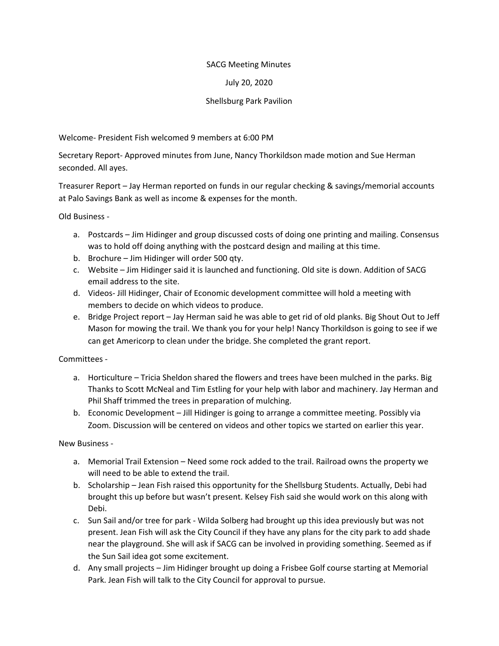## SACG Meeting Minutes

## July 20, 2020

## Shellsburg Park Pavilion

Welcome- President Fish welcomed 9 members at 6:00 PM

Secretary Report- Approved minutes from June, Nancy Thorkildson made motion and Sue Herman seconded. All ayes.

Treasurer Report – Jay Herman reported on funds in our regular checking & savings/memorial accounts at Palo Savings Bank as well as income & expenses for the month.

Old Business -

- a. Postcards Jim Hidinger and group discussed costs of doing one printing and mailing. Consensus was to hold off doing anything with the postcard design and mailing at this time.
- b. Brochure Jim Hidinger will order 500 qty.
- c. Website Jim Hidinger said it is launched and functioning. Old site is down. Addition of SACG email address to the site.
- d. Videos- Jill Hidinger, Chair of Economic development committee will hold a meeting with members to decide on which videos to produce.
- e. Bridge Project report Jay Herman said he was able to get rid of old planks. Big Shout Out to Jeff Mason for mowing the trail. We thank you for your help! Nancy Thorkildson is going to see if we can get Americorp to clean under the bridge. She completed the grant report.

Committees -

- a. Horticulture Tricia Sheldon shared the flowers and trees have been mulched in the parks. Big Thanks to Scott McNeal and Tim Estling for your help with labor and machinery. Jay Herman and Phil Shaff trimmed the trees in preparation of mulching.
- b. Economic Development Jill Hidinger is going to arrange a committee meeting. Possibly via Zoom. Discussion will be centered on videos and other topics we started on earlier this year.

New Business -

- a. Memorial Trail Extension Need some rock added to the trail. Railroad owns the property we will need to be able to extend the trail.
- b. Scholarship Jean Fish raised this opportunity for the Shellsburg Students. Actually, Debi had brought this up before but wasn't present. Kelsey Fish said she would work on this along with Debi.
- c. Sun Sail and/or tree for park Wilda Solberg had brought up this idea previously but was not present. Jean Fish will ask the City Council if they have any plans for the city park to add shade near the playground. She will ask if SACG can be involved in providing something. Seemed as if the Sun Sail idea got some excitement.
- d. Any small projects Jim Hidinger brought up doing a Frisbee Golf course starting at Memorial Park. Jean Fish will talk to the City Council for approval to pursue.